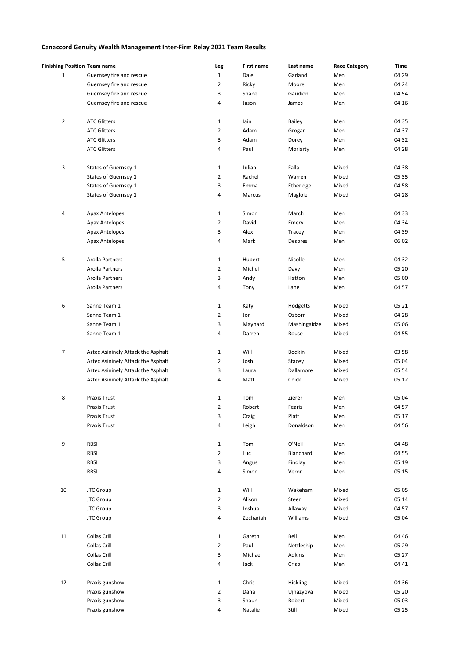## **Canaccord Genuity Wealth Management Inter-Firm Relay 2021 Team Results**

|                | <b>Finishing Position Team name</b> | Leg            | <b>First name</b> | Last name     | <b>Race Category</b> | Time  |
|----------------|-------------------------------------|----------------|-------------------|---------------|----------------------|-------|
| $\mathbf{1}$   | Guernsey fire and rescue            | $\mathbf{1}$   | Dale              | Garland       | Men                  | 04:29 |
|                | Guernsey fire and rescue            | 2              | Ricky             | Moore         | Men                  | 04:24 |
|                | Guernsey fire and rescue            | 3              | Shane             | Gaudion       | Men                  | 04:54 |
|                | Guernsey fire and rescue            | 4              | Jason             | James         | Men                  | 04:16 |
|                |                                     |                |                   |               |                      |       |
| $\overline{2}$ | <b>ATC Glitters</b>                 | $\mathbf 1$    | lain              | Bailey        | Men                  | 04:35 |
|                | <b>ATC Glitters</b>                 | $\overline{2}$ | Adam              | Grogan        | Men                  | 04:37 |
|                | <b>ATC Glitters</b>                 | 3              | Adam              | Dorey         | Men                  | 04:32 |
|                | <b>ATC Glitters</b>                 | 4              | Paul              | Moriarty      | Men                  | 04:28 |
|                |                                     |                |                   |               |                      |       |
| 3              | States of Guernsey 1                | $\mathbf{1}$   | Julian            | Falla         | Mixed                | 04:38 |
|                | States of Guernsey 1                | $\overline{2}$ | Rachel            | Warren        | Mixed                | 05:35 |
|                | States of Guernsey 1                | 3              | Emma              | Etheridge     | Mixed                | 04:58 |
|                | States of Guernsey 1                | 4              | Marcus            | Magloie       | Mixed                | 04:28 |
|                |                                     |                |                   |               |                      |       |
| 4              | Apax Antelopes                      | $\mathbf{1}$   | Simon             | March         | Men                  | 04:33 |
|                | Apax Antelopes                      | $\overline{2}$ | David             | Emery         | Men                  | 04:34 |
|                | <b>Apax Antelopes</b>               | 3              | Alex              | Tracey        | Men                  | 04:39 |
|                | Apax Antelopes                      | 4              | Mark              | Despres       | Men                  | 06:02 |
|                |                                     |                |                   |               |                      |       |
| 5              | Arolla Partners                     | $1\,$          | Hubert            | Nicolle       | Men                  | 04:32 |
|                | Arolla Partners                     | $\overline{2}$ | Michel            |               | Men                  | 05:20 |
|                | Arolla Partners                     | 3              |                   | Davy          | Men                  | 05:00 |
|                |                                     |                | Andy              | Hatton        |                      |       |
|                | Arolla Partners                     | 4              | Tony              | Lane          | Men                  | 04:57 |
| 6              | Sanne Team 1                        | $\mathbf{1}$   | Katy              | Hodgetts      | Mixed                | 05:21 |
|                | Sanne Team 1                        |                |                   |               | Mixed                | 04:28 |
|                |                                     | $\overline{2}$ | Jon               | Osborn        |                      |       |
|                | Sanne Team 1                        | 3              | Maynard           | Mashingaidze  | Mixed                | 05:06 |
|                | Sanne Team 1                        | 4              | Darren            | Rouse         | Mixed                | 04:55 |
|                |                                     |                |                   |               |                      |       |
| $\overline{7}$ | Aztec Asininely Attack the Asphalt  | $\mathbf{1}$   | Will              | <b>Bodkin</b> | Mixed                | 03:58 |
|                | Aztec Asininely Attack the Asphalt  | $\overline{2}$ | Josh              | Stacey        | Mixed                | 05:04 |
|                | Aztec Asininely Attack the Asphalt  | 3              | Laura             | Dallamore     | Mixed                | 05:54 |
|                | Aztec Asininely Attack the Asphalt  | 4              | Matt              | Chick         | Mixed                | 05:12 |
|                |                                     |                |                   |               |                      |       |
| 8              | Praxis Trust                        | $\mathbf{1}$   | Tom               | Zierer        | Men                  | 05:04 |
|                | Praxis Trust                        | $\overline{2}$ | Robert            | Fearis        | Men                  | 04:57 |
|                | Praxis Trust                        | 3              | Craig             | Platt         | Men                  | 05:17 |
|                | Praxis Trust                        | 4              | Leigh             | Donaldson     | Men                  | 04:56 |
|                |                                     |                |                   |               |                      |       |
| 9              | RBSI                                | $\mathbf{1}$   | Tom               | O'Neil        | Men                  | 04:48 |
|                | <b>RBSI</b>                         | $\overline{2}$ | Luc               | Blanchard     | Men                  | 04:55 |
|                | <b>RBSI</b>                         | $\mathbf{3}$   | Angus             | Findlay       | Men                  | 05:19 |
|                | <b>RBSI</b>                         | 4              | Simon             | Veron         | Men                  | 05:15 |
|                |                                     |                |                   |               |                      |       |
| $10\,$         | <b>JTC Group</b>                    | $1\,$          | Will              | Wakeham       | Mixed                | 05:05 |
|                | <b>JTC Group</b>                    | $\overline{2}$ | Alison            | Steer         | Mixed                | 05:14 |
|                | <b>JTC Group</b>                    | 3              | Joshua            | Allaway       | Mixed                | 04:57 |
|                | <b>JTC Group</b>                    | 4              | Zechariah         | Williams      | Mixed                | 05:04 |
|                |                                     |                |                   |               |                      |       |
| $11\,$         | Collas Crill                        | $1\,$          | Gareth            | Bell          | Men                  | 04:46 |
|                | Collas Crill                        | $\overline{2}$ | Paul              | Nettleship    | Men                  | 05:29 |
|                | Collas Crill                        | 3              | Michael           | Adkins        | Men                  | 05:27 |
|                | Collas Crill                        | 4              | Jack              | Crisp         | Men                  | 04:41 |
|                |                                     |                |                   |               |                      |       |
| 12             | Praxis gunshow                      | $\mathbf{1}$   | Chris             | Hickling      | Mixed                | 04:36 |
|                | Praxis gunshow                      | $\overline{2}$ | Dana              | Ujhazyova     | Mixed                | 05:20 |
|                | Praxis gunshow                      | 3              | Shaun             | Robert        | Mixed                | 05:03 |
|                | Praxis gunshow                      | 4              | Natalie           | Still         | Mixed                | 05:25 |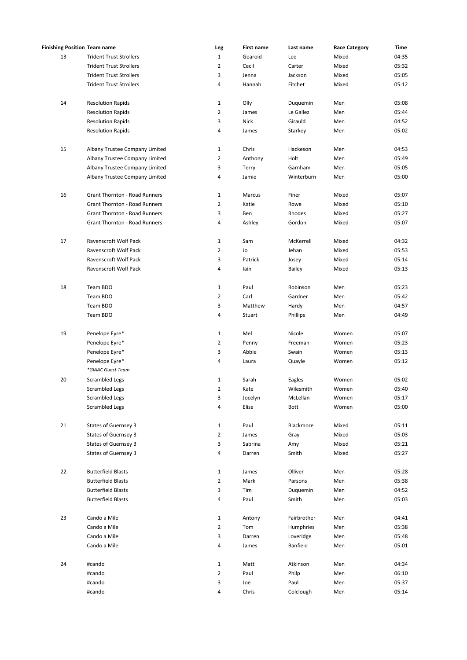| <b>Finishing Position Team name</b> |                                      | Leg            | <b>First name</b> | Last name     | <b>Race Category</b> | Time  |
|-------------------------------------|--------------------------------------|----------------|-------------------|---------------|----------------------|-------|
| 13                                  | <b>Trident Trust Strollers</b>       | $\mathbf{1}$   | Gearoid           | Lee           | Mixed                | 04:35 |
|                                     | <b>Trident Trust Strollers</b>       | $\overline{2}$ | Cecil             | Carter        | Mixed                | 05:32 |
|                                     | <b>Trident Trust Strollers</b>       | 3              | Jenna             | Jackson       | Mixed                | 05:05 |
|                                     | <b>Trident Trust Strollers</b>       | 4              | Hannah            | Fitchet       | Mixed                | 05:12 |
|                                     |                                      |                |                   |               |                      |       |
| 14                                  | <b>Resolution Rapids</b>             | $\mathbf 1$    | Olly              | Duquemin      | Men                  | 05:08 |
|                                     | <b>Resolution Rapids</b>             | $\overline{2}$ | James             | Le Gallez     | Men                  | 05:44 |
|                                     | <b>Resolution Rapids</b>             | 3              | <b>Nick</b>       | Girauld       | Men                  | 04:52 |
|                                     | <b>Resolution Rapids</b>             | 4              | James             | Starkey       | Men                  | 05:02 |
|                                     |                                      |                |                   |               |                      |       |
| 15                                  | Albany Trustee Company Limited       | $\mathbf{1}$   | Chris             | Hackeson      | Men                  | 04:53 |
|                                     | Albany Trustee Company Limited       | $\overline{2}$ | Anthony           | Holt          | Men                  | 05:49 |
|                                     | Albany Trustee Company Limited       | 3              | Terry             | Garnham       | Men                  | 05:05 |
|                                     | Albany Trustee Company Limited       | 4              | Jamie             | Winterburn    | Men                  | 05:00 |
| 16                                  | Grant Thornton - Road Runners        | $\mathbf{1}$   | Marcus            | Finer         | Mixed                | 05:07 |
|                                     | Grant Thornton - Road Runners        | $\overline{2}$ | Katie             | Rowe          | Mixed                | 05:10 |
|                                     | Grant Thornton - Road Runners        | 3              | Ben               | Rhodes        | Mixed                | 05:27 |
|                                     | <b>Grant Thornton - Road Runners</b> | 4              | Ashley            | Gordon        | Mixed                | 05:07 |
|                                     |                                      |                |                   |               |                      |       |
| 17                                  | Ravenscroft Wolf Pack                | $\mathbf{1}$   | Sam               | McKerrell     | Mixed                | 04:32 |
|                                     | <b>Ravenscroft Wolf Pack</b>         | $\overline{2}$ | Jo                | Jehan         | Mixed                | 05:53 |
|                                     | Ravenscroft Wolf Pack                | 3              | Patrick           | Josey         | Mixed                | 05:14 |
|                                     | Ravenscroft Wolf Pack                | 4              | lain              | <b>Bailey</b> | Mixed                | 05:13 |
|                                     |                                      |                |                   |               |                      |       |
| 18                                  | Team BDO                             | $\mathbf 1$    | Paul              | Robinson      | Men                  | 05:23 |
|                                     | Team BDO                             | $\overline{2}$ | Carl              | Gardner       | Men                  | 05:42 |
|                                     | Team BDO                             | 3              | Matthew           | Hardy         | Men                  | 04:57 |
|                                     | Team BDO                             | 4              | Stuart            | Phillips      | Men                  | 04:49 |
| 19                                  | Penelope Eyre*                       | $\mathbf{1}$   | Mel               | Nicole        | Women                | 05:07 |
|                                     | Penelope Eyre*                       | $\overline{2}$ | Penny             | Freeman       | Women                | 05:23 |
|                                     | Penelope Eyre*                       | 3              | Abbie             | Swain         | Women                | 05:13 |
|                                     | Penelope Eyre*                       | 4              | Laura             | Quayle        | Women                | 05:12 |
|                                     | *GIAAC Guest Team                    |                |                   |               |                      |       |
| 20                                  | Scrambled Legs                       | $\mathbf{1}$   | Sarah             | Eagles        | Women                | 05:02 |
|                                     | Scrambled Legs                       | $\overline{2}$ | Kate              | Wilesmith     | Women                | 05:40 |
|                                     | <b>Scrambled Legs</b>                | 3              | Jocelyn           | McLellan      | Women                | 05:17 |
|                                     | Scrambled Legs                       | 4              | Elise             | Bott          | Women                | 05:00 |
|                                     |                                      |                |                   |               |                      |       |
| 21                                  | States of Guernsey 3                 | $\mathbf{1}$   | Paul              | Blackmore     | Mixed                | 05:11 |
|                                     | States of Guernsey 3                 | $\overline{2}$ | James             | Gray          | Mixed                | 05:03 |
|                                     | States of Guernsey 3                 | 3              | Sabrina           | Amy           | Mixed                | 05:21 |
|                                     | States of Guernsey 3                 | 4              | Darren            | Smith         | Mixed                | 05:27 |
|                                     |                                      |                |                   |               |                      |       |
| 22                                  | <b>Butterfield Blasts</b>            | $\mathbf{1}$   | James             | Olliver       | Men                  | 05:28 |
|                                     | <b>Butterfield Blasts</b>            | $\overline{2}$ | Mark              | Parsons       | Men                  | 05:38 |
|                                     | <b>Butterfield Blasts</b>            | 3              | Tim               | Duquemin      | Men                  | 04:52 |
|                                     | <b>Butterfield Blasts</b>            | 4              | Paul              | Smith         | Men                  | 05:03 |
| 23                                  | Cando a Mile                         | $\mathbf{1}$   | Antony            | Fairbrother   | Men                  | 04:41 |
|                                     | Cando a Mile                         | $\overline{2}$ | Tom               | Humphries     | Men                  | 05:38 |
|                                     | Cando a Mile                         | 3              | Darren            | Loveridge     | Men                  | 05:48 |
|                                     | Cando a Mile                         | 4              | James             | Banfield      | Men                  | 05:01 |
|                                     |                                      |                |                   |               |                      |       |
| 24                                  | #cando                               | $\mathbf{1}$   | Matt              | Atkinson      | Men                  | 04:34 |
|                                     | #cando                               | $\overline{2}$ | Paul              | Philp         | Men                  | 06:10 |
|                                     | #cando                               | 3              | Joe               | Paul          | Men                  | 05:37 |
|                                     | #cando                               | 4              | Chris             | Colclough     | Men                  | 05:14 |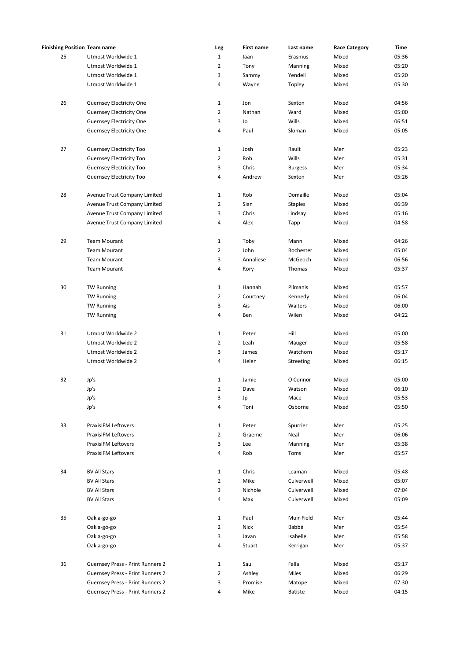|    | <b>Finishing Position Team name</b> | Leg            | First name  | Last name      | <b>Race Category</b> | Time  |
|----|-------------------------------------|----------------|-------------|----------------|----------------------|-------|
| 25 | Utmost Worldwide 1                  | $\mathbf{1}$   | laan        | Erasmus        | Mixed                | 05:36 |
|    | Utmost Worldwide 1                  | $\overline{2}$ | Tony        | Manning        | Mixed                | 05:20 |
|    | Utmost Worldwide 1                  | 3              | Sammy       | Yendell        | Mixed                | 05:20 |
|    | Utmost Worldwide 1                  | 4              | Wayne       | Topley         | Mixed                | 05:30 |
|    |                                     |                |             |                |                      |       |
| 26 | <b>Guernsey Electricity One</b>     | $\mathbf{1}$   | Jon         | Sexton         | Mixed                | 04:56 |
|    | <b>Guernsey Electricity One</b>     | $\overline{2}$ | Nathan      | Ward           | Mixed                | 05:00 |
|    | <b>Guernsey Electricity One</b>     | 3              | Jo          | Wills          | Mixed                | 06:51 |
|    | <b>Guernsey Electricity One</b>     | 4              | Paul        | Sloman         | Mixed                | 05:05 |
|    |                                     |                |             |                |                      |       |
| 27 | <b>Guernsey Electricity Too</b>     | $\mathbf{1}$   | Josh        | Rault          | Men                  | 05:23 |
|    | Guernsey Electricity Too            | $\overline{2}$ | Rob         | Wills          | Men                  | 05:31 |
|    | <b>Guernsey Electricity Too</b>     | 3              | Chris       | <b>Burgess</b> | Men                  | 05:34 |
|    | <b>Guernsey Electricity Too</b>     | 4              | Andrew      | Sexton         | Men                  | 05:26 |
|    |                                     |                |             |                |                      |       |
| 28 | Avenue Trust Company Limited        | $\mathbf{1}$   | Rob         | Domaille       | Mixed                | 05:04 |
|    | Avenue Trust Company Limited        | $\overline{2}$ | Sian        | <b>Staples</b> | Mixed                | 06:39 |
|    | Avenue Trust Company Limited        | 3              | Chris       | Lindsay        | Mixed                | 05:16 |
|    | Avenue Trust Company Limited        | 4              | Alex        | Tapp           | Mixed                | 04:58 |
|    |                                     |                |             |                |                      |       |
| 29 | <b>Team Mourant</b>                 | $\mathbf{1}$   | Toby        | Mann           | Mixed                | 04:26 |
|    | <b>Team Mourant</b>                 | $\overline{2}$ | John        | Rochester      | Mixed                | 05:04 |
|    | <b>Team Mourant</b>                 | 3              | Annaliese   | McGeoch        | Mixed                | 06:56 |
|    | <b>Team Mourant</b>                 | 4              | Rory        | Thomas         | Mixed                | 05:37 |
| 30 | <b>TW Running</b>                   | $\mathbf{1}$   | Hannah      | Pilmanis       | Mixed                | 05:57 |
|    | <b>TW Running</b>                   | $\overline{2}$ | Courtney    | Kennedy        | Mixed                | 06:04 |
|    | <b>TW Running</b>                   | 3              | Ais         | Walters        | Mixed                | 06:00 |
|    | <b>TW Running</b>                   | 4              | Ben         | Wilen          | Mixed                | 04:22 |
|    |                                     |                |             |                |                      |       |
| 31 | Utmost Worldwide 2                  | $\mathbf{1}$   | Peter       | Hill           | Mixed                | 05:00 |
|    | Utmost Worldwide 2                  | $\overline{2}$ | Leah        | Mauger         | Mixed                | 05:58 |
|    | Utmost Worldwide 2                  | 3              | James       | Watchorn       | Mixed                | 05:17 |
|    | Utmost Worldwide 2                  | 4              | Helen       | Streeting      | Mixed                | 06:15 |
|    |                                     |                |             |                |                      |       |
| 32 | Jp's                                | $\mathbf{1}$   | Jamie       | O Connor       | Mixed                | 05:00 |
|    | Jp's                                | $\overline{2}$ | Dave        | Watson         | Mixed                | 06:10 |
|    | Jp's                                | 3              | Jp          | Mace           | Mixed                | 05:53 |
|    | Jp's                                | 4              | Toni        | Osborne        | Mixed                | 05:50 |
|    |                                     |                |             |                |                      |       |
| 33 | <b>PraxisIFM Leftovers</b>          | $\mathbf{1}$   | Peter       | Spurrier       | Men                  | 05:25 |
|    | PraxisIFM Leftovers                 | $\overline{2}$ | Graeme      | Neal           | Men                  | 06:06 |
|    | PraxisIFM Leftovers                 | 3              | Lee         | Manning        | Men                  | 05:38 |
|    | <b>PraxisIFM Leftovers</b>          | 4              | Rob         | Toms           | Men                  | 05:57 |
| 34 | <b>BV All Stars</b>                 | $\mathbf{1}$   | Chris       | Leaman         | Mixed                | 05:48 |
|    | <b>BV All Stars</b>                 | $\overline{2}$ | Mike        | Culverwell     | Mixed                | 05:07 |
|    | <b>BV All Stars</b>                 |                | Nichole     |                |                      | 07:04 |
|    |                                     | 3              |             | Culverwell     | Mixed                |       |
|    | <b>BV All Stars</b>                 | 4              | Max         | Culverwell     | Mixed                | 05:09 |
| 35 | Oak a-go-go                         | $\mathbf{1}$   | Paul        | Muir-Field     | Men                  | 05:44 |
|    | Oak a-go-go                         | $\overline{2}$ | <b>Nick</b> | Babbé          | Men                  | 05:54 |
|    | Oak a-go-go                         | 3              | Javan       | Isabelle       | Men                  | 05:58 |
|    | Oak a-go-go                         | 4              | Stuart      | Kerrigan       | Men                  | 05:37 |
|    |                                     |                |             |                |                      |       |
| 36 | Guernsey Press - Print Runners 2    | $\mathbf{1}$   | Saul        | Falla          | Mixed                | 05:17 |
|    | Guernsey Press - Print Runners 2    | $\overline{2}$ | Ashley      | Miles          | Mixed                | 06:29 |
|    | Guernsey Press - Print Runners 2    | 3              | Promise     | Matope         | Mixed                | 07:30 |
|    | Guernsey Press - Print Runners 2    | 4              | Mike        | Batiste        | Mixed                | 04:15 |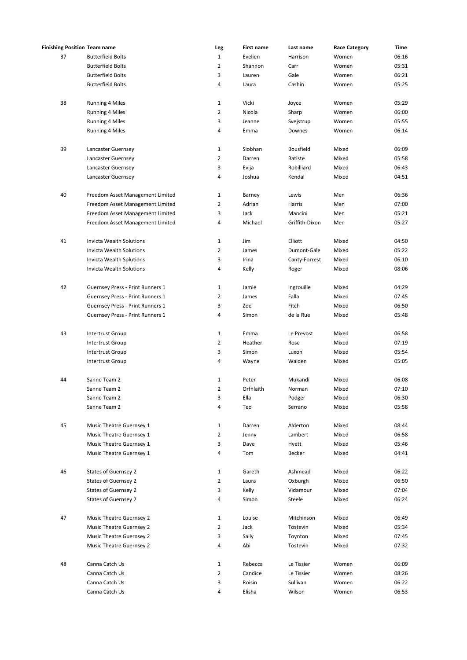| <b>Finishing Position Team name</b> |                                  | Leg                            | First name       | Last name        | <b>Race Category</b> | Time           |
|-------------------------------------|----------------------------------|--------------------------------|------------------|------------------|----------------------|----------------|
| 37                                  | <b>Butterfield Bolts</b>         | $\mathbf{1}$                   | Evelien          | Harrison         | Women                | 06:16          |
|                                     | <b>Butterfield Bolts</b>         | $\overline{2}$                 | Shannon          | Carr             | Women                | 05:31          |
|                                     | <b>Butterfield Bolts</b>         | 3                              | Lauren           | Gale             | Women                | 06:21          |
|                                     | <b>Butterfield Bolts</b>         | 4                              | Laura            | Cashin           | Women                | 05:25          |
|                                     |                                  |                                |                  |                  |                      |                |
| 38                                  | <b>Running 4 Miles</b>           | 1                              | Vicki            | Joyce            | Women                | 05:29          |
|                                     | <b>Running 4 Miles</b>           | $\overline{2}$                 | Nicola           | Sharp            | Women                | 06:00          |
|                                     | <b>Running 4 Miles</b>           | 3                              | Jeanne           | Svejstrup        | Women                | 05:55          |
|                                     | <b>Running 4 Miles</b>           | 4                              | Emma             | Downes           | Women                | 06:14          |
|                                     |                                  |                                |                  |                  |                      |                |
| 39                                  | Lancaster Guernsey               | $\mathbf{1}$                   | Siobhan          | <b>Bousfield</b> | Mixed                | 06:09          |
|                                     | Lancaster Guernsey               | $\overline{2}$                 | Darren           | <b>Batiste</b>   | Mixed                | 05:58          |
|                                     | Lancaster Guernsey               | 3                              | Evija            | Robilliard       | Mixed                | 06:43          |
|                                     | Lancaster Guernsey               | 4                              | Joshua           | Kendal           | Mixed                | 04:51          |
|                                     |                                  |                                |                  |                  |                      |                |
| 40                                  | Freedom Asset Management Limited | $\mathbf{1}$<br>$\overline{2}$ | Barney<br>Adrian | Lewis<br>Harris  | Men<br>Men           | 06:36<br>07:00 |
|                                     | Freedom Asset Management Limited |                                |                  |                  |                      |                |
|                                     | Freedom Asset Management Limited | 3                              | Jack             | Mancini          | Men                  | 05:21          |
|                                     | Freedom Asset Management Limited | 4                              | Michael          | Griffith-Dixon   | Men                  | 05:27          |
| 41                                  | Invicta Wealth Solutions         | $\mathbf{1}$                   | Jim              | Elliott          | Mixed                | 04:50          |
|                                     | <b>Invicta Wealth Solutions</b>  | $\overline{2}$                 | James            | Dumont-Gale      | Mixed                | 05:22          |
|                                     | <b>Invicta Wealth Solutions</b>  | 3                              | Irina            | Canty-Forrest    | Mixed                | 06:10          |
|                                     | <b>Invicta Wealth Solutions</b>  | 4                              | Kelly            |                  | Mixed                | 08:06          |
|                                     |                                  |                                |                  | Roger            |                      |                |
| 42                                  | Guernsey Press - Print Runners 1 | 1                              | Jamie            | Ingrouille       | Mixed                | 04:29          |
|                                     | Guernsey Press - Print Runners 1 | $\overline{2}$                 | James            | Falla            | Mixed                | 07:45          |
|                                     | Guernsey Press - Print Runners 1 | 3                              | Zoe              | Fitch            | Mixed                | 06:50          |
|                                     | Guernsey Press - Print Runners 1 | 4                              | Simon            | de la Rue        | Mixed                | 05:48          |
|                                     |                                  |                                |                  |                  |                      |                |
| 43                                  | Intertrust Group                 | $\mathbf{1}$                   | Emma             | Le Prevost       | Mixed                | 06:58          |
|                                     | Intertrust Group                 | $\overline{2}$                 | Heather          | Rose             | Mixed                | 07:19          |
|                                     | Intertrust Group                 | 3                              | Simon            | Luxon            | Mixed                | 05:54          |
|                                     | Intertrust Group                 | 4                              | Wayne            | Walden           | Mixed                | 05:05          |
| 44                                  | Sanne Team 2                     | 1                              | Peter            | Mukandi          | Mixed                | 06:08          |
|                                     |                                  |                                |                  |                  |                      | 07:10          |
|                                     | Sanne Team 2                     | $\overline{2}$                 | Orfhlaith        | Norman           | Mixed                |                |
|                                     | Sanne Team 2                     | 3                              | Ella             | Podger           | Mixed                | 06:30          |
|                                     | Sanne Team 2                     | 4                              | Teo              | Serrano          | Mixed                | 05:58          |
| 45                                  | Music Theatre Guernsey 1         | $\mathbf{1}$                   | Darren           | Alderton         | Mixed                | 08:44          |
|                                     | Music Theatre Guernsey 1         | $\overline{2}$                 | Jenny            | Lambert          | Mixed                | 06:58          |
|                                     | Music Theatre Guernsey 1         | 3                              | Dave             | Hyett            | Mixed                | 05:46          |
|                                     | Music Theatre Guernsey 1         | 4                              | Tom              | Becker           | Mixed                | 04:41          |
|                                     |                                  |                                |                  |                  |                      |                |
| 46                                  | States of Guernsey 2             | $\mathbf{1}$                   | Gareth           | Ashmead          | Mixed                | 06:22          |
|                                     | <b>States of Guernsey 2</b>      | $\overline{2}$                 | Laura            | Oxburgh          | Mixed                | 06:50          |
|                                     | <b>States of Guernsey 2</b>      | 3                              | Kelly            | Vidamour         | Mixed                | 07:04          |
|                                     | <b>States of Guernsey 2</b>      | 4                              | Simon            | Steele           | Mixed                | 06:24          |
|                                     |                                  |                                |                  |                  |                      |                |
| 47                                  | Music Theatre Guernsey 2         | $\mathbf{1}$                   | Louise           | Mitchinson       | Mixed                | 06:49          |
|                                     | Music Theatre Guernsey 2         | $\overline{2}$                 | Jack             | Tostevin         | Mixed                | 05:34          |
|                                     | Music Theatre Guernsey 2         | 3                              | Sally            | Toynton          | Mixed                | 07:45          |
|                                     | Music Theatre Guernsey 2         | 4                              | Abi              | Tostevin         | Mixed                | 07:32          |
|                                     |                                  |                                |                  |                  |                      |                |
| 48                                  | Canna Catch Us                   | $\mathbf{1}$                   | Rebecca          | Le Tissier       | Women                | 06:09          |
|                                     | Canna Catch Us                   | $\overline{2}$                 | Candice          | Le Tissier       | Women                | 08:26          |
|                                     | Canna Catch Us                   | 3                              | Roisin           | Sullivan         | Women                | 06:22          |
|                                     | Canna Catch Us                   | 4                              | Elisha           | Wilson           | Women                | 06:53          |